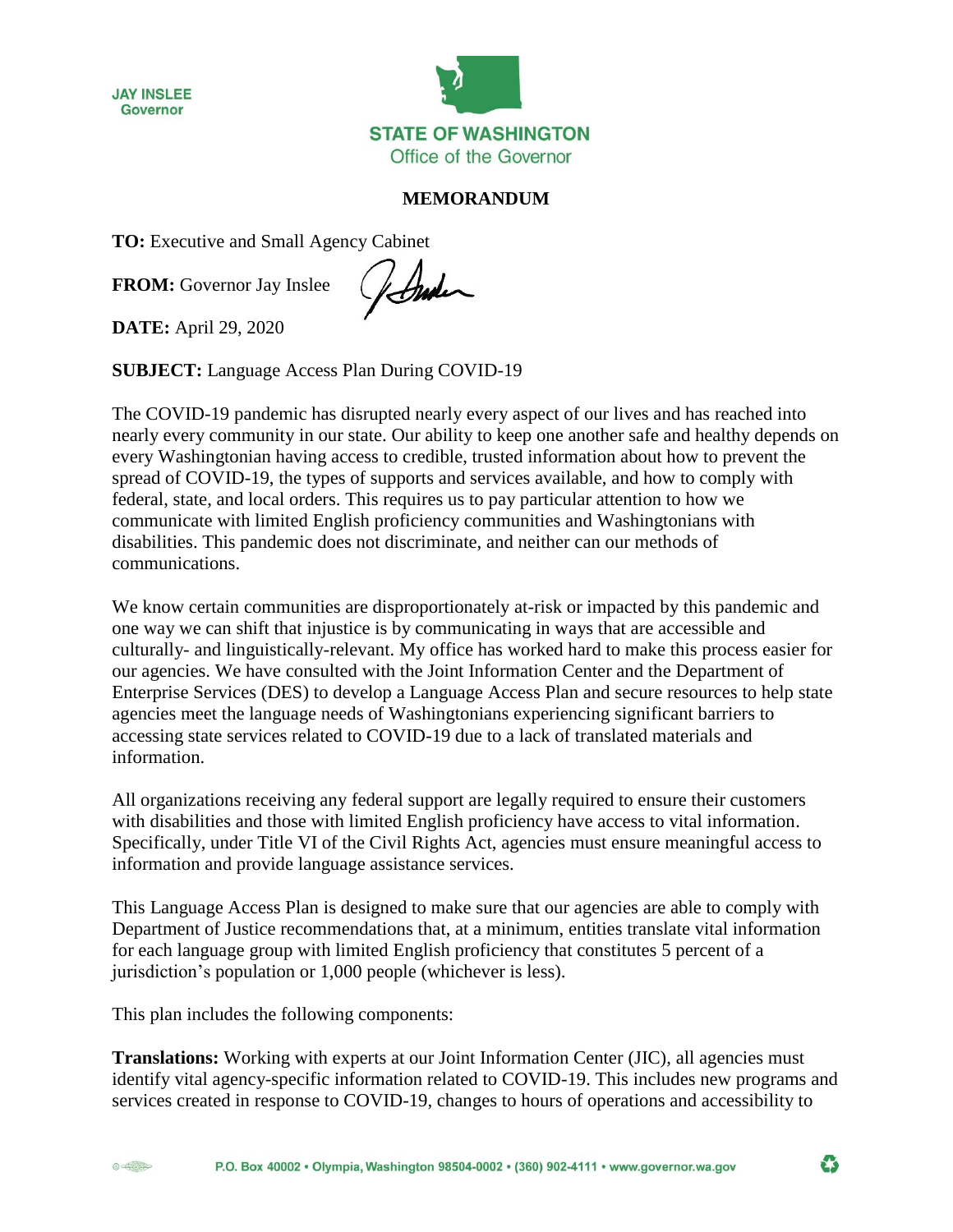



## **MEMORANDUM**

**TO:** Executive and Small Agency Cabinet

**FROM:** Governor Jay Inslee

forder

**DATE:** April 29, 2020

**SUBJECT:** Language Access Plan During COVID-19

The COVID-19 pandemic has disrupted nearly every aspect of our lives and has reached into nearly every community in our state. Our ability to keep one another safe and healthy depends on every Washingtonian having access to credible, trusted information about how to prevent the spread of COVID-19, the types of supports and services available, and how to comply with federal, state, and local orders. This requires us to pay particular attention to how we communicate with limited English proficiency communities and Washingtonians with disabilities. This pandemic does not discriminate, and neither can our methods of communications.

We know certain communities are disproportionately at-risk or impacted by this pandemic and one way we can shift that injustice is by communicating in ways that are accessible and culturally- and linguistically-relevant. My office has worked hard to make this process easier for our agencies. We have consulted with the Joint Information Center and the Department of Enterprise Services (DES) to develop a Language Access Plan and secure resources to help state agencies meet the language needs of Washingtonians experiencing significant barriers to accessing state services related to COVID-19 due to a lack of translated materials and information.

All organizations receiving any federal support are legally required to ensure their customers with disabilities and those with limited English proficiency have access to vital information. Specifically, under Title VI of the Civil Rights Act, agencies must ensure meaningful access to information and provide language assistance services.

This Language Access Plan is designed to make sure that our agencies are able to comply with Department of Justice recommendations that, at a minimum, entities translate vital information for each language group with limited English proficiency that constitutes 5 percent of a jurisdiction's population or 1,000 people (whichever is less).

This plan includes the following components:

**Translations:** Working with experts at our Joint Information Center (JIC), all agencies must identify vital agency-specific information related to COVID-19. This includes new programs and services created in response to COVID-19, changes to hours of operations and accessibility to

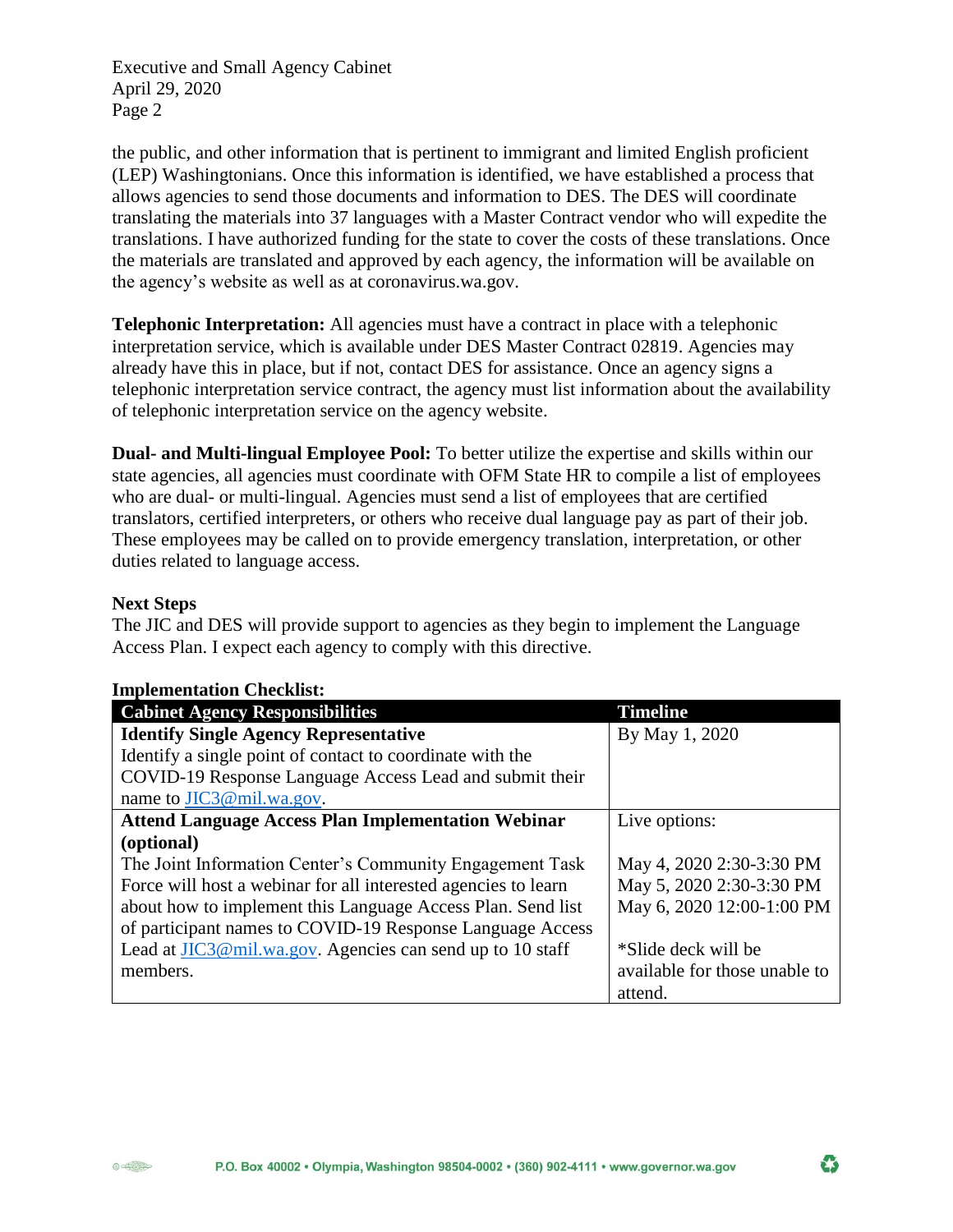Executive and Small Agency Cabinet April 29, 2020 Page 2

the public, and other information that is pertinent to immigrant and limited English proficient (LEP) Washingtonians. Once this information is identified, we have established a process that allows agencies to send those documents and information to DES. The DES will coordinate translating the materials into 37 languages with a Master Contract vendor who will expedite the translations. I have authorized funding for the state to cover the costs of these translations. Once the materials are translated and approved by each agency, the information will be available on the agency's website as well as at coronavirus.wa.gov.

**Telephonic Interpretation:** All agencies must have a contract in place with a telephonic interpretation service, which is available under DES Master Contract 02819. Agencies may already have this in place, but if not, contact DES for assistance. Once an agency signs a telephonic interpretation service contract, the agency must list information about the availability of telephonic interpretation service on the agency website.

**Dual- and Multi-lingual Employee Pool:** To better utilize the expertise and skills within our state agencies, all agencies must coordinate with OFM State HR to compile a list of employees who are dual- or multi-lingual. Agencies must send a list of employees that are certified translators, certified interpreters, or others who receive dual language pay as part of their job. These employees may be called on to provide emergency translation, interpretation, or other duties related to language access.

## **Next Steps**

The JIC and DES will provide support to agencies as they begin to implement the Language Access Plan. I expect each agency to comply with this directive.

| <b>Cabinet Agency Responsibilities</b>                         | <b>Timeline</b>               |
|----------------------------------------------------------------|-------------------------------|
| <b>Identify Single Agency Representative</b>                   | By May 1, 2020                |
| Identify a single point of contact to coordinate with the      |                               |
| COVID-19 Response Language Access Lead and submit their        |                               |
| name to JIC3@mil.wa.gov.                                       |                               |
| <b>Attend Language Access Plan Implementation Webinar</b>      | Live options:                 |
| (optional)                                                     |                               |
| The Joint Information Center's Community Engagement Task       | May 4, 2020 2:30-3:30 PM      |
| Force will host a webinar for all interested agencies to learn | May 5, 2020 2:30-3:30 PM      |
| about how to implement this Language Access Plan. Send list    | May 6, 2020 12:00-1:00 PM     |
| of participant names to COVID-19 Response Language Access      |                               |
| Lead at JIC3@mil.wa.gov. Agencies can send up to 10 staff      | *Slide deck will be           |
| members.                                                       | available for those unable to |
|                                                                | attend.                       |

## **Implementation Checklist:**